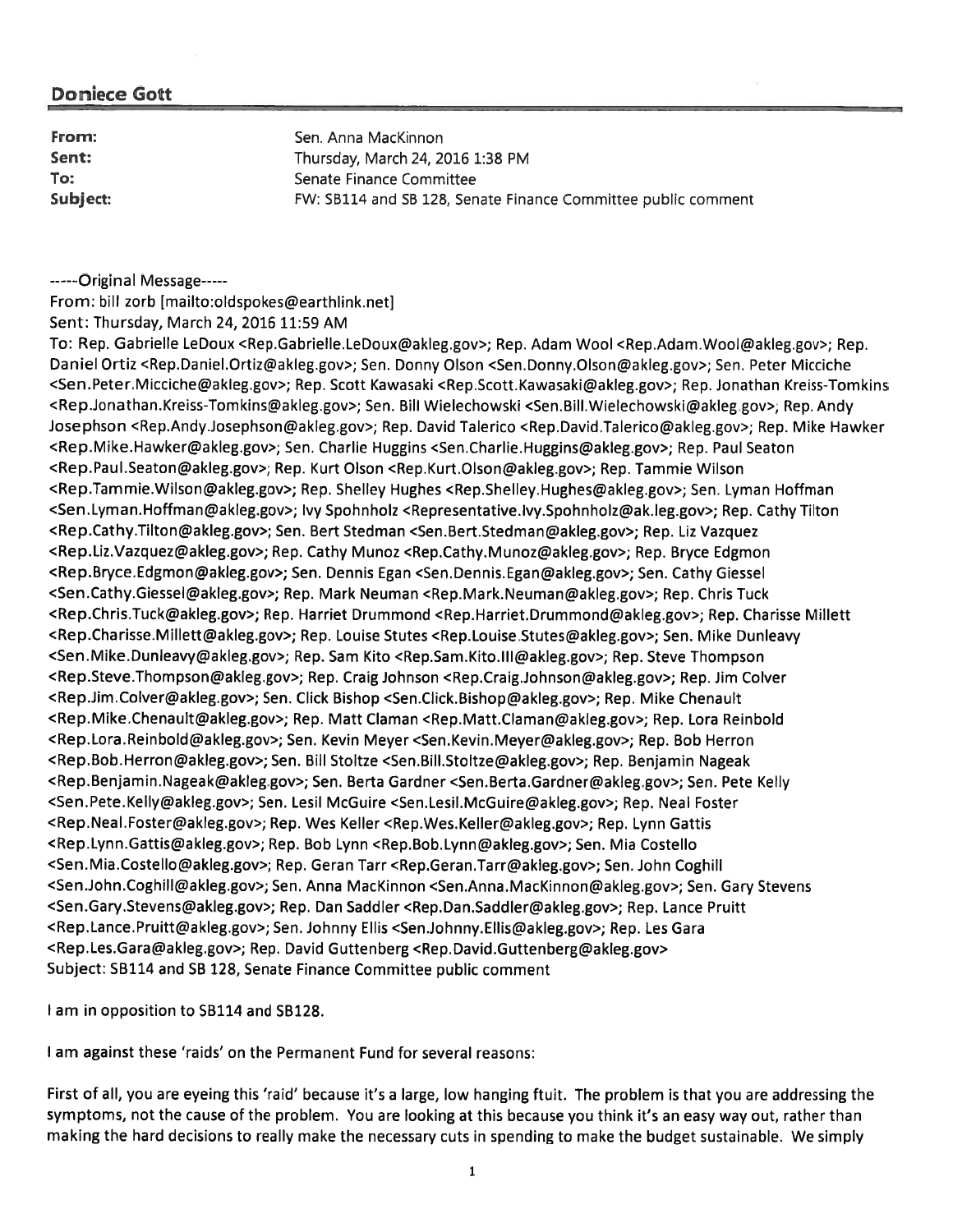| From:    | Sen. Anna MacKinnon                                           |
|----------|---------------------------------------------------------------|
| Sent:    | Thursday, March 24, 2016 1:38 PM                              |
| To:      | Senate Finance Committee                                      |
| Subject: | FW: SB114 and SB 128, Senate Finance Committee public comment |

-----Original Message------

From: bill zorb [mailto:oldspokes@earthlink.net]

Sent: Thursday, March 24, 2016 11:59 AM

To: Rep. Gabrielle LeDoux <Rep.Gabrielle.LeDoux@akleg.gov>; Rep. Adam Wool <Rep.Adam .Wool@akleg.gov>; Rep. Daniel Ortiz <Rep.Daniel.Ortiz@akleg.gov>; Sen. Donny Olson <Sen.Donny,Olson@akleg.gov>; Sen. Peter Micciche <Sen.Peter.Micciche@akleg.gov>; Rep. Scott Kawasaki <Rep.Scott.Kawasaki@akleg.gov>; Rep. Jonathan Kreiss-Tomkins <Rep.Jonalhan.Kreiss-Tornkins@akleg.gov>; Sen. Bill Wielechowski <Sen.Bill.Wielechowski@akleg gov>, Rep. Andy Josephson <Rep.Andy.Josephson@akleg.gov>; Rep. David Talerico <Rep.David.Talerico@akleg.gov>; Rep. Mike Hawker <Rep.Mike.Hawker@akleg.gov>, Sen. Charlie Huggins <Sen.Charlie.Huggins@akleg.gov>; Rep. Paul Seaton <Rep.Paul.Seaton@akleg.gov>; Rep. Kurt Olson <Rep.Kurt.Olson@akleg.gov>; Rep. Tammie Wilson <Rep.Tammie.Wilson@akleg.gov>; Rep. Shelley Hughes <Rep.Shelley.Hughes@akleg.gov>; Sen. Lyman Hoffman <Sen.Lyman.Hoffman@akleg.gov>; Ivy Spohnholz <Representative.lvy.Spohnholz@ak.leg.gov>; Rep. Cathy Tilton <Rep.Cathy.Tilton@akleg.gov>; Sen. Bert Stedman <Sen.Bert.Stedman@akleg.gov>; Rep. Liz Vazquez <Rep.Liz.Vazquez@akleg.gov>, Rep. Cathy Munoz <Rep.Cathy.Munoz@akleg.gov>, Rep. Bryce Edgmon <Rep.Bryce.Edgmon@akleg.gov>; Sen. Dennis Egan <Sen.Dennis.Egan@akleg.gov>; Sen. Cathy Giessel <Sen.Cathy.Giessel@akleg.gov>; Rep. Mark Neuman <Rep.Mark.Neuman@akleg.gov>; Rep. Chris Tuck <Rep.Chris.Tuck@akleg.gov>; Rep. Harriet Drummond <Rep.Harriet.Drummond@akleg.gov>; Rep. Charisse Millett <Rep.Charisse.Millett@akleg.gov>; Rep. Louise Stutes <Rep.Louise.Stutes@akleg.gov>; Sen. Mike Dunleavy <Sen.Mike.Dunleavy@akleg.gov>; Rep. Sam Kito <Rep.Sam.Kito.Ill@akleg.gov>; Rep. Steve Thompson <Rep.Steve.Thompson@akleg.gov>; Rep. Craig Johnson <Rep.Craig.Johnson@akleg.gov>; Rep. Jim Colver <Rep.Jim.Colver@akleg,gov>; Sen. Click Bishop <Sen.Click.Bishop@akleg.gov>; Rep. Mike Chenault <Rep.Mike.Chenault@akleg.gov>; Rep. Matt Claman <Rep.Matt.Claman@akleg.gov>; Rep. Lora Reinbold <Rep.Lora.Reinbold@akleg.gov>; Sen. Kevin Meyer <Sen.Kevin.Meyer@akleg.gov>; Rep. Bob Herron <Rep.Bob.Herron@akleg.gov>; Sen. Bill Stoltze <Sen.Bill.Stoltze@akleg.gov>; Rep. Benjamin Nageak <Rep.Benjamin.Nageak@akleg.gov>; Sen. Berta Gardner <Sen.Berta.Gardner@akleg.gov>; Sen. Pete Kelly <Sen. Pete.Kelly@akleg.gov>; Sen. Lesil McGuire <Sen.Lesil.McGuire@akleg.gov>; Rep. Neal Foster <Rep.NeaI.Foster@akleg.gov>; Rep. Wes Keller <Rep.Wes.KelIer@akleg.gov>; Rep. Lynn Gattis <Rep.Lynn.Gattis@akleg.gov>; Rep. Bob Lynn <Rep.Bob.Lynn@akleg.gov>; Sen. Mia Costello <Sen.Mia.Costello@akleg.gov>; Rep. Geran Tarr <Rep.Geran.Tarr@akleg.gov>; Sen. John Coghill <Sen.John.Coghill@akleg.gov>; Sen. Anna MacKinnon <Sen.Anna.MacKinnon@akleg.gov>; Sen. Gary Stevens <Sen.Gary.Stevens@akleg.gov>; Rep. Dan Saddler <Rep.Dan.Saddler@akleg.gov>; Rep. Lance Pruitt <Rep.Lance.Pruitt@akleg.gov>; Sen. Johnny Ellis <Sen,Johnny.Ellis@akleg.gov>; Rep. Les Gara <Rep.Les.Gara@akleg.gov>; Rep. David Guttenberg <Rep.David.Guttenberg@akleg,gov> Subject: SB114 and SB 128, Senate Finance Committee public comment

I am in opposition to SB114 and SB128.

I am against these 'raids' on the Permanent Fund for several reasons:

First of all, you are eyeing this 'raid' because it's <sup>a</sup> large, low hanging ftuit. The problem is that you are addressing the symptoms, not the cause of the problem. You are looking at this because you think it's an easy way out, rather than making the hard decisions to really make the necessary cuts in spending to make the budget sustainable. We simply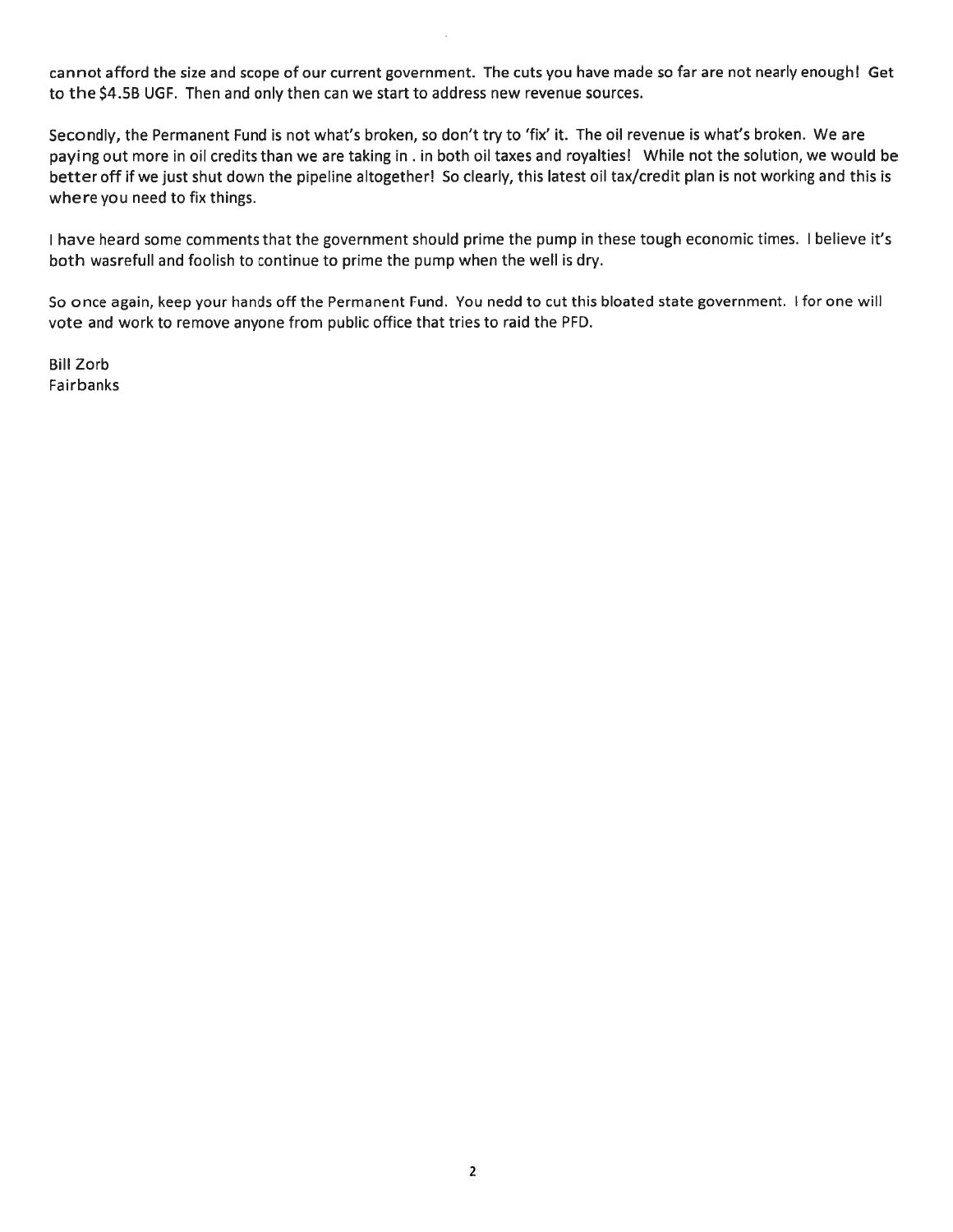cannot afford the size and scope of our current government. The cuts you have made so far are not nearly enough! Get to the \$4.5B UGF. Then and only then can we start to address new revenue sources.

Secondly, the Permanent Fund is not what's broken, so don't try to 'fix' it. The oil revenue is what's broken. We are paying out more in oil credits than we are taking in . in both oil taxes and royalties! While not the solution, we would be better off if we just shut down the pipeline altogether! So clearly, this latest oil tax/credit plan is not working and this is where you need to fix things.

I have heard some comments that the government should prime the pump in these tough economic times. I believe it's both wasrefull and foolish to continue to prime the pump when the well is dry.

So once again, keep your hands off the Permanent Fund. You nedd to cut this bloated state government. I for one will vote and work to remove anyone from public office that tries to raid the PFD.

Bill Zorb Fairbanks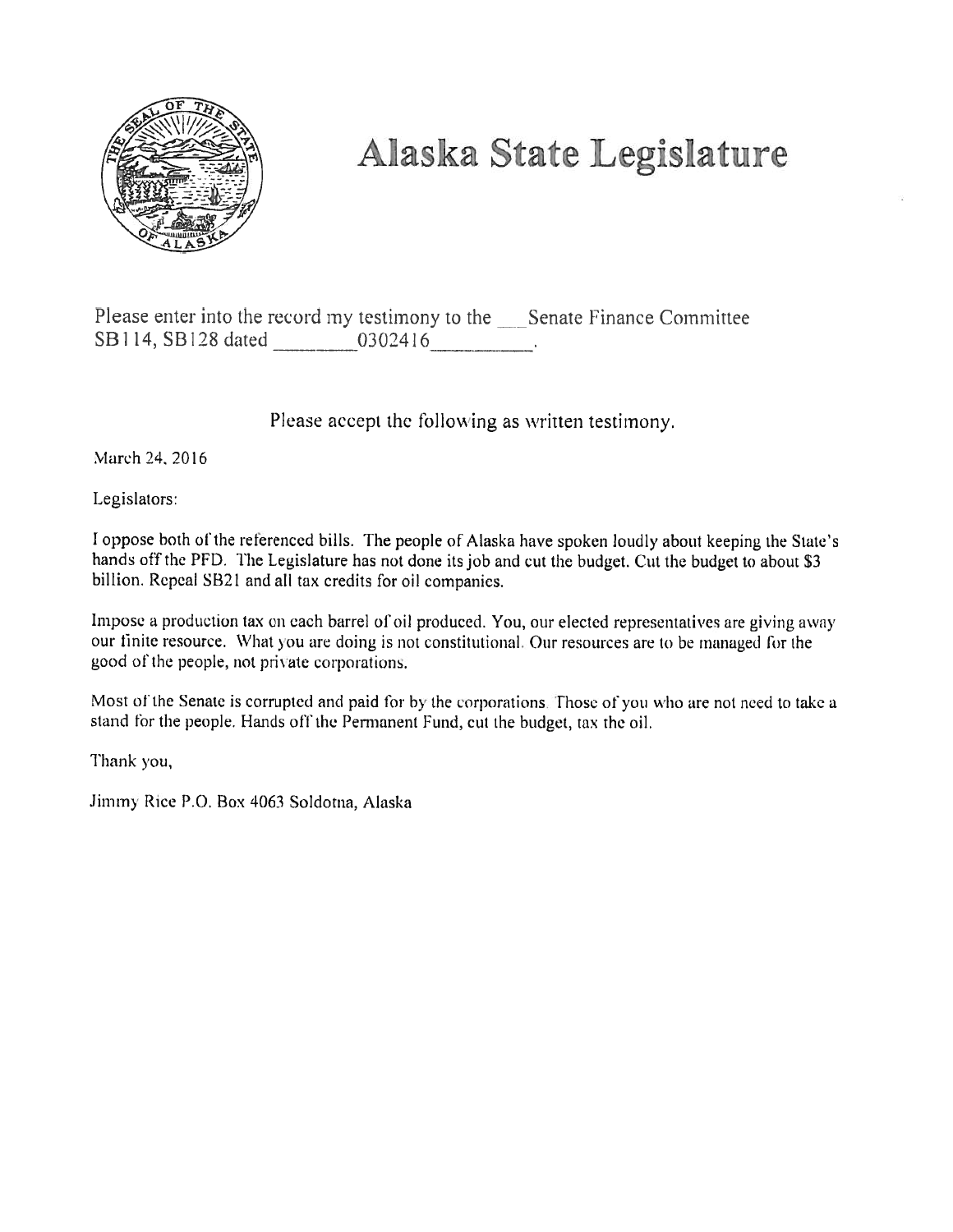

# Alaska State Legislature

Please enter into the record my testimony to the \_\_\_\_Senate Finance Committee SB114, SB128 dated 0302416.

Please accept the following as written testimony.

March 24, 2016

Legislators:

I oppose both of the referenced bills. The people of Alaska have spoken loudly about keeping the State's hands off the PFD. The Legislature has not done its job and cut the budget. Cut the budget to about \$3 billion. Repeal SB21 and all tax credits for oil companies.

Impose a production tax on each barrel of oil produced. You, our elected representatives are giving away our finite resource. What you are doing is not constitutional. Our resources are to be managed for the good of the people, not private corporations.

Most of the Senate is corrupted and paid for by the corporations. Those of you who are not need to take a stand for the people. Hands off the Permanent Fund, cut the budget, tax the oil.

Thank you,

Jimmy Rice P.O. Box 4063 Soldotna, Alaska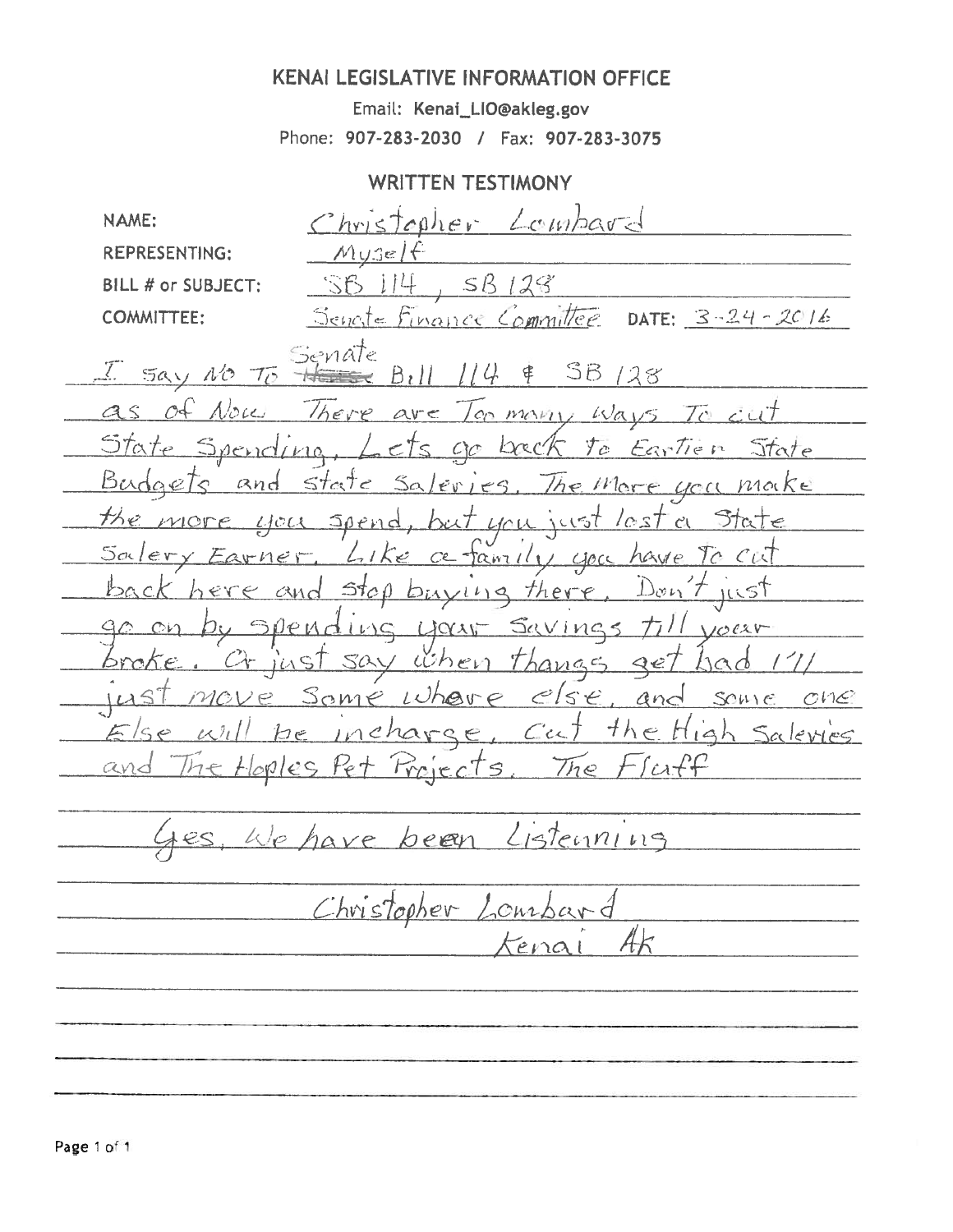# **KENAI LEGISLATIVE INFORMATION OFFICE**

Email: Kenai\_LIO@akleg.gov Phone: 907-283-2030 / Fax: 907-283-3075

# **WRITTEN TESTIMONY**

Christopher Lombard NAME: **REPRESENTING:**  $MUSE$  $SB128$ **BILL # or SUBJECT:** - i i 4 SB. DATE:  $3 - 24 - 2016$ **COMMITTEE:** Senate Finance Committee Senate  $38128$ Say NO To  $a\hat{b}$ Noce There lon many Ways  $av<$  $\overline{7}$ デロナ Spending go back  $cts$  $y_c$ Earlien State Budgets and state  $S$ a/eries.  $ac$ a noke The More the. Spend MORE  $LICL$ but you just  $5a$ lery Like ce tamilin you have To Earner Stop buying there  $D_{\mathcal{O}}$ *n*  $\tau$ ILLST LIOCANT PМ いぐ  $V10002V$  $\angle$  when Thanges  $SAV$  $Q$ c  $\epsilon$  se Some Whair  $anc$  $2701$ SOME  $C$  $M$  $C$  $H_{i,j}$ char  $\tau h \in$ Salevies  $C$ cc  $\epsilon$  $QV$ Froject  $|\circ$ nles  $He$  $\overline{S}$  $The$  $\mathcal{L}$ Listenning  $k|p|$ been  $h$ Christopher Lourbard  $EMC$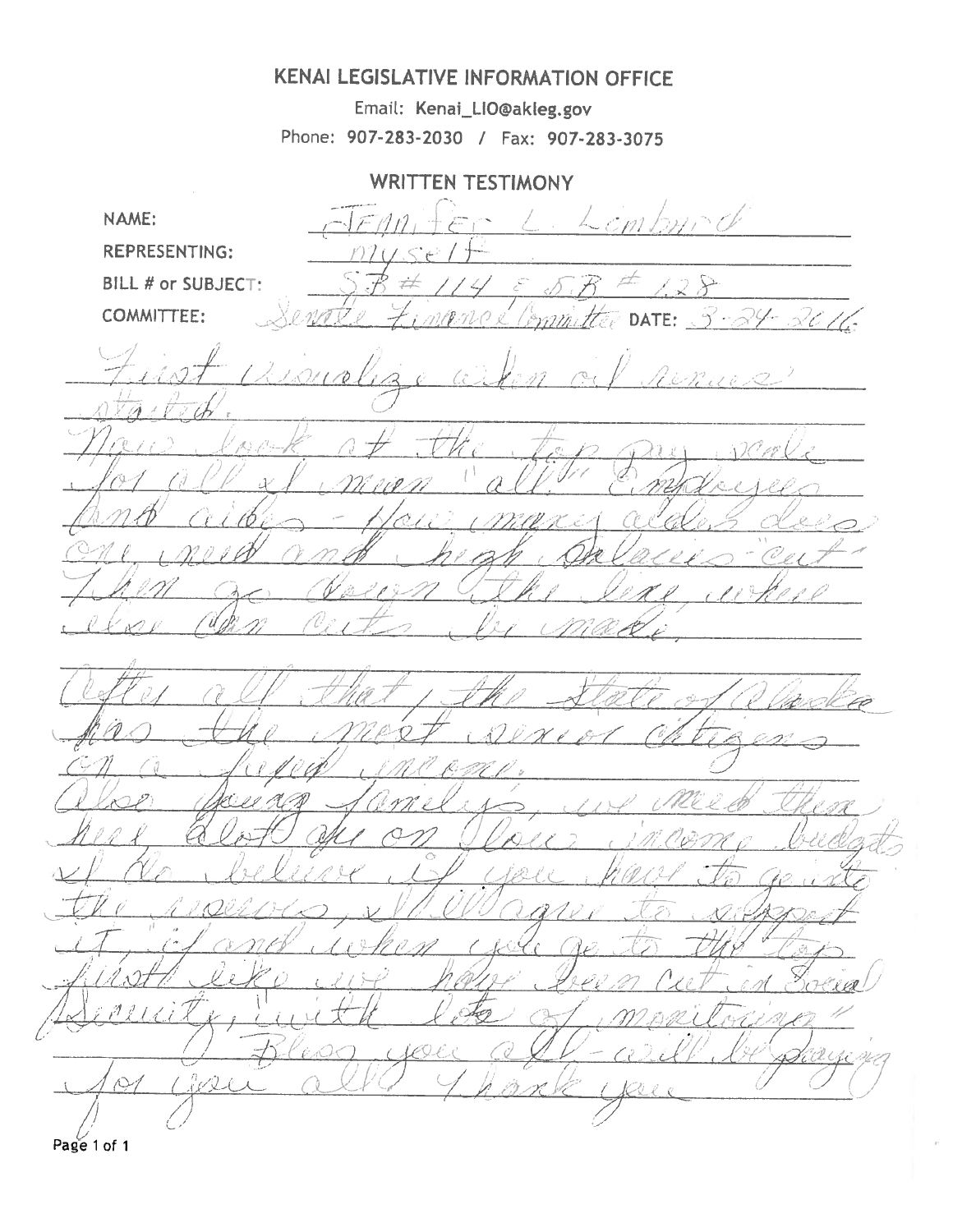# KENAI LEGISLATIVE INFORMATION OFFICE

Email: Kenai\_LIO@akleg.gov Phone: 907-283-2030 / Fax: 907-283-3075

**WRITTEN TESTIMONY** 

NAME: **REPRESENTING:** BILL # or SUBJECT:  $\mathbb{R}^{\mathcal{A}}$ **COMMITTEE:** 2016 l., DATE: イーベタ ぬぶ  $\mathcal{O}^{o}$ er UE:0 D. HO-E ( rO e  $\mathcal{C}_{\mathcal{A}}$ rQ-BL Page 1 of 1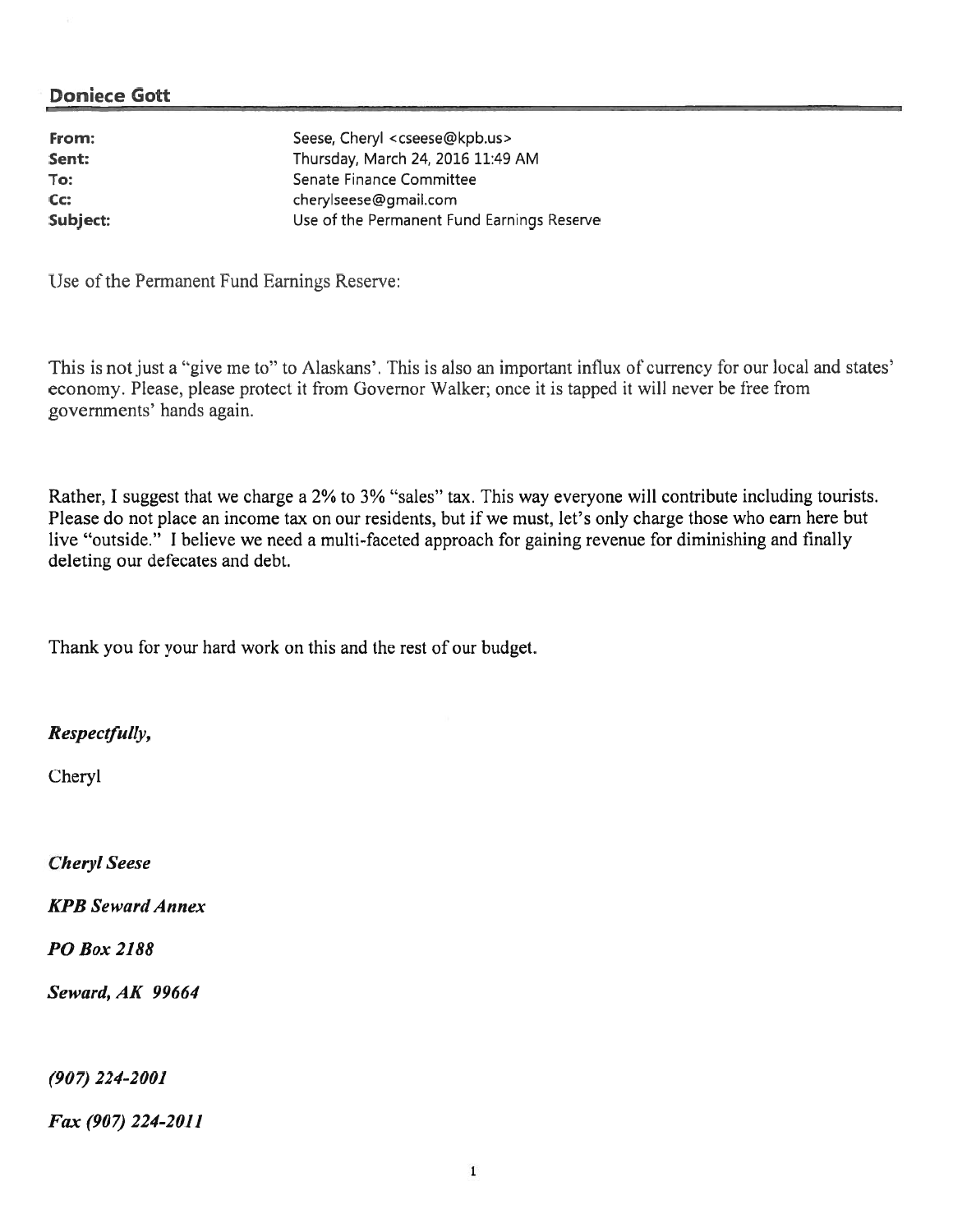| From:    | Seese, Cheryl <cseese@kpb.us></cseese@kpb.us> |
|----------|-----------------------------------------------|
| Sent:    | Thursday, March 24, 2016 11:49 AM             |
| To:      | Senate Finance Committee                      |
| Cc:      | cherylseese@gmail.com                         |
| Subject: | Use of the Permanent Fund Earnings Reserve    |

Use of the Pemmnent Fund Earnings Reserve:

This is not just <sup>a</sup> "give me to" to Alaskans'. This is also an important influx of currency for our local and states' economy. Please, please protect it from Governor Walker; once it is tapped it will never he free from governments' hands again.

Rather, I sugges<sup>t</sup> that we charge <sup>a</sup> 2% to 3% "sales" tax. This way everyone will contribute including tourists. Please do not place an income tax on our residents, but if we must, let's only charge those who earn here but live "outside." I believe we need a multi-faceted approach for gaining revenue for diminishing and finally deleting our defecates and debt.

Thank you for your hard work on this and the rest of our budget.

#### Respectfully,

Cheryl

Cheryl Seese

KPB Seward Annex

#### P0 Box 2188

Seward, AK 99664

(907) 224-2001

Fax (907) 224-2011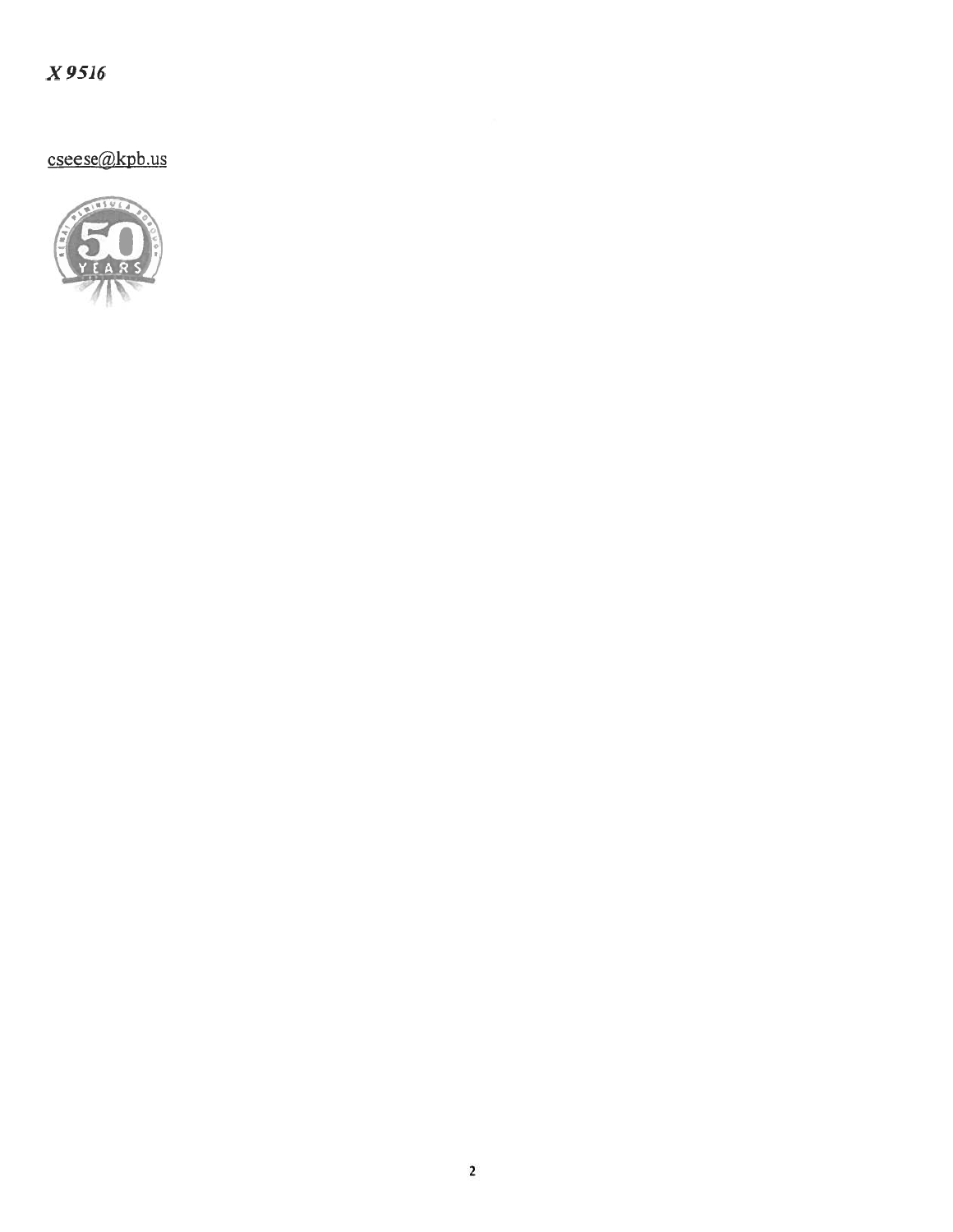$X$ 9516

cseese@kpb.us

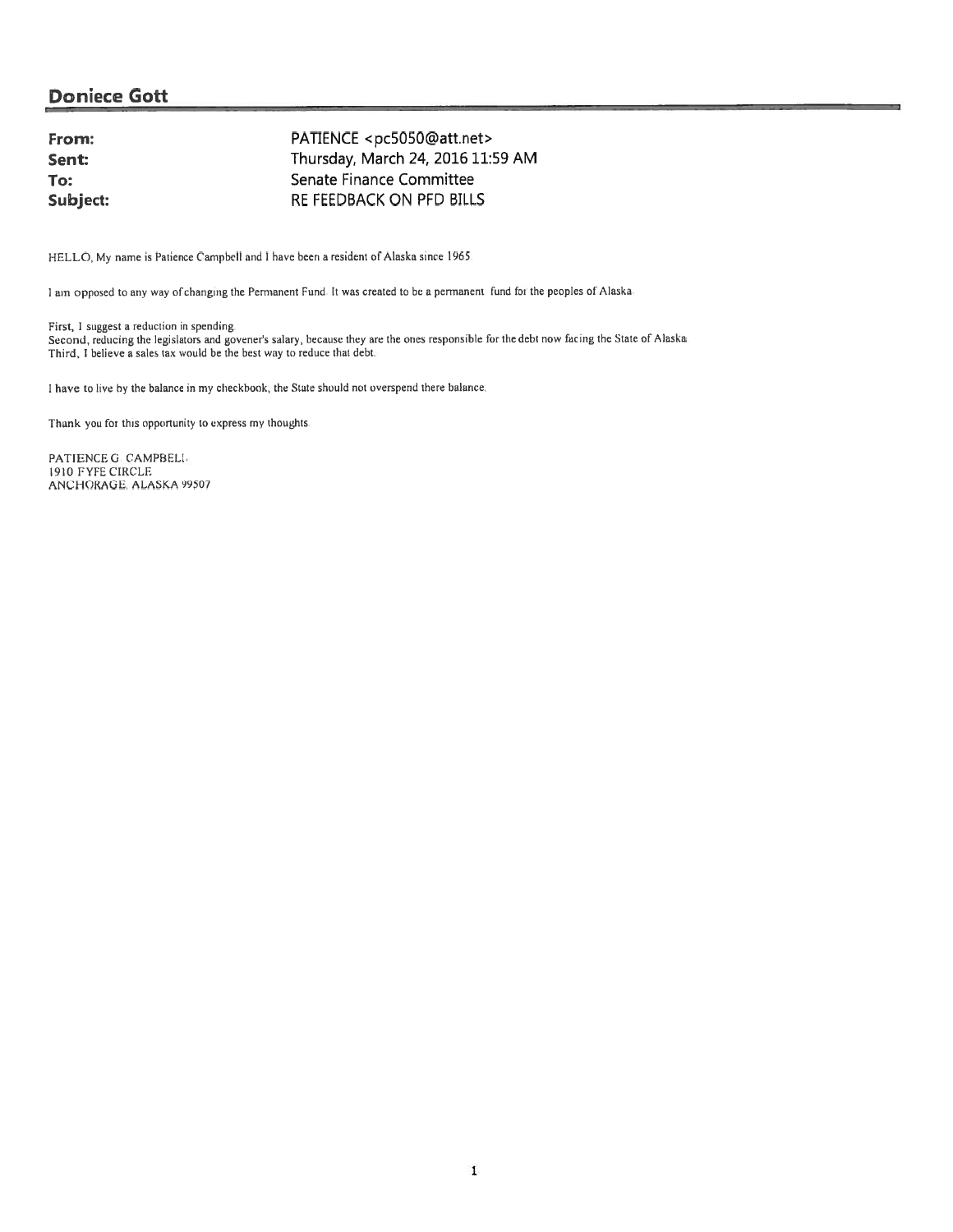| PATIENCE <pc5050@att.net></pc5050@att.net> |
|--------------------------------------------|
| Thursday, March 24, 2016 11:59 AM          |
| Senate Finance Committee                   |
| RE FEEDBACK ON PFD BILLS                   |
|                                            |

HELLO, My name is Patience Campbell and <sup>I</sup> have been <sup>a</sup> resident of Alaska since 1965.

<sup>I</sup> am oppose<sup>d</sup> to any way of changing the Permanent Fund It was created to be <sup>a</sup> pennanen<sup>t</sup> fund foi the peoples of Alaska

First, I sugges<sup>t</sup> <sup>a</sup> reduction in spending Second, reducing the legislators and goveners salary, because they are the ones responsible for the debt now facing the State of Alaska Third, I believe a sales tax would be the best way to reduce that debt

I have to live by the balance in my checkbook, the State should not overspend there balance.

Thank you for this opportunity to express my thoughts.

PATIENCE G. CAMPBELI. 1910 FYFE CIRCLE ANCHORAGE, ALASKA 99507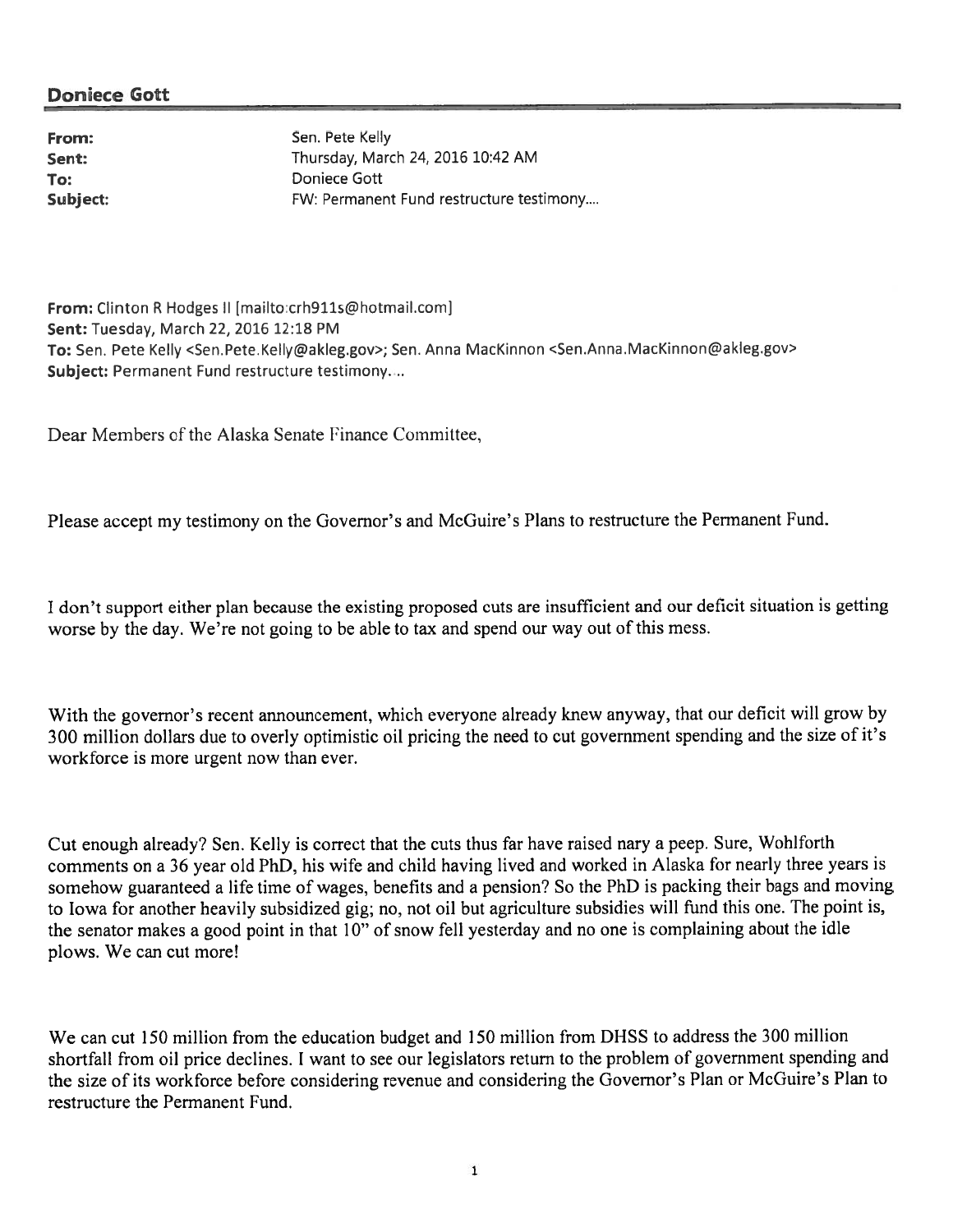Subject:

From: Sen. Pete Kelly Sent: Thursday, March 24, 2016 10:42 AM To: Doniece Gott FW: Permanent Fund restructure testimony....

From: Clinton R Hodges II [mailto:crh911s@hotmail.com] Sent: Tuesday, March 22, 2016 12:18 PM To: Sen. Pete Kelly <Sen.Pete.Kelly@akleg.gov>; Sen. Anna MacKinnon <Sen.Anna.MacKinnon@akleg.gov> Subject: Permanent Fund restructure testimony....

Dear Members of the Alaska Senate Finance Committee,

Please accep<sup>t</sup> my testimony on the Governor's and McGuire's Plans to restructure the Permanent Fund.

<sup>I</sup> don't suppor<sup>t</sup> either <sup>p</sup>lan because the existing propose<sup>d</sup> cuts are insufficient and our deficit situation is getting worse by the day. We're not going to be able to tax and spend our way out of this mess.

With the governor's recent announcement, which everyone already knew anyway, that our deficit will grow by <sup>300</sup> million dollars due to overly optimistic oil pricing the need to cut governmen<sup>t</sup> spending and the size of it's workforce is more urgen<sup>t</sup> now than ever,

Cut enoug<sup>h</sup> already'? Sen. Kelly is correct that the cuts thus far have raised nary <sup>a</sup> peep. Sure, Wohlforth comments on <sup>a</sup> <sup>36</sup> year old PhD, his wife and child having lived and worked in Alaska for nearly three years is somehow guaranteed <sup>a</sup> life time of wages, benefits and <sup>a</sup> pension? So the PhD is packing their bags and moving to Iowa for another heavily subsidized <sup>g</sup>ig; no, not oil but agriculture subsidies will fund this one. The point is, the senator makes <sup>a</sup> goo<sup>d</sup> point in that 10" of snow fell yesterday and no one is complaining about the idle plows. We can cut more!

We can cut 150 million from the education budget and 150 million from DHSS to address the 300 million shortfall from oil price declines. <sup>I</sup> want to see our legislators return to the problem of governmen<sup>t</sup> spending and the size of its workforce before considering revenue and considering the Governor's Plan or McGuire's Plan to restructure the Permanent Fund.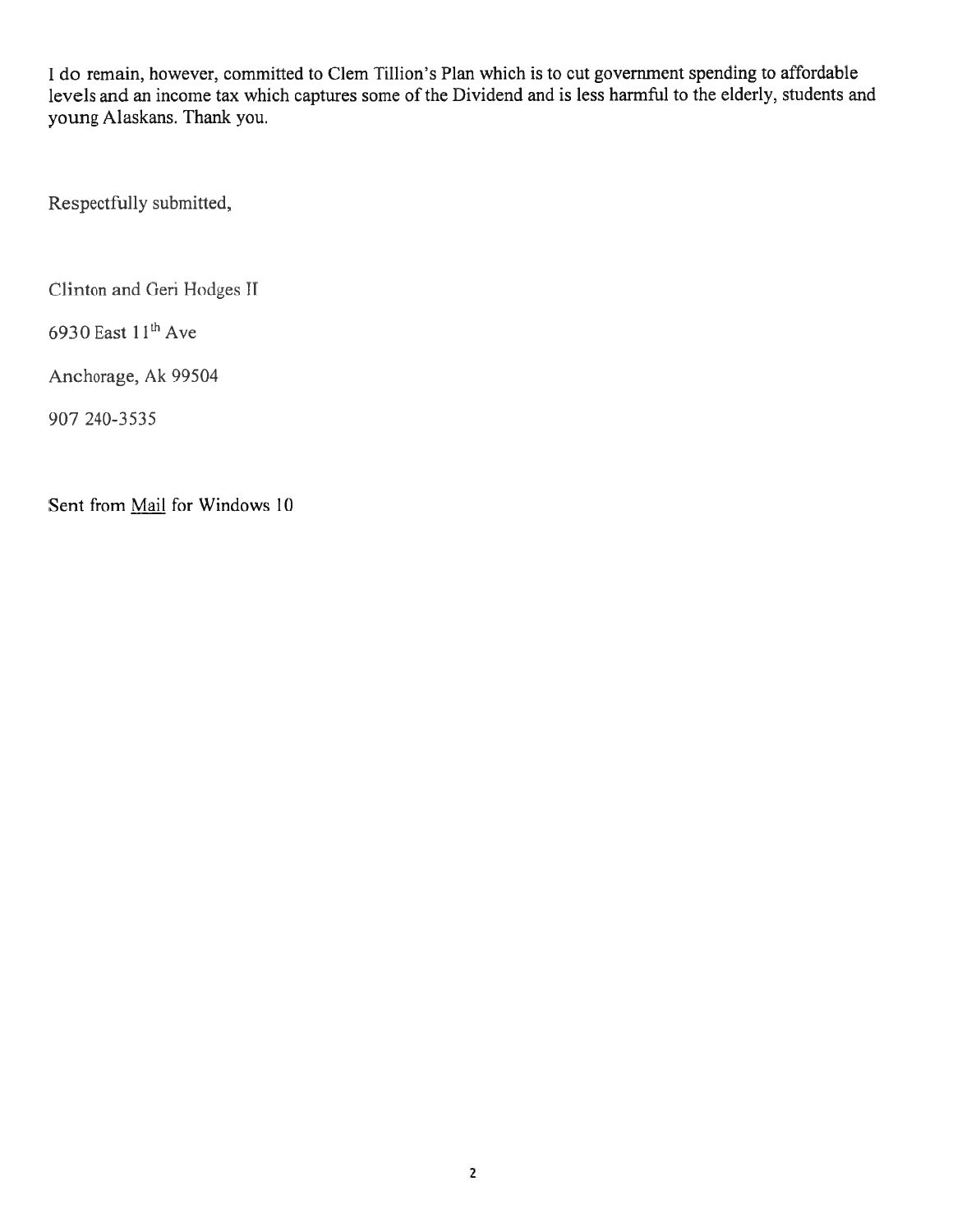I do remain, however, committed to Clem Tillion's Plan which is to cut governmen<sup>t</sup> spending to affordable levels and an income tax which captures some of the Dividend and is less harmfiul to the elderly, students and young Alaskans. Thank you.

Respectfully submitted,

Clinton and Geri Hodges II

6930 East  $11<sup>th</sup>$  Ave

Anchorage, Ak 99504

907 240-3535

Sent from Mail for Windows 10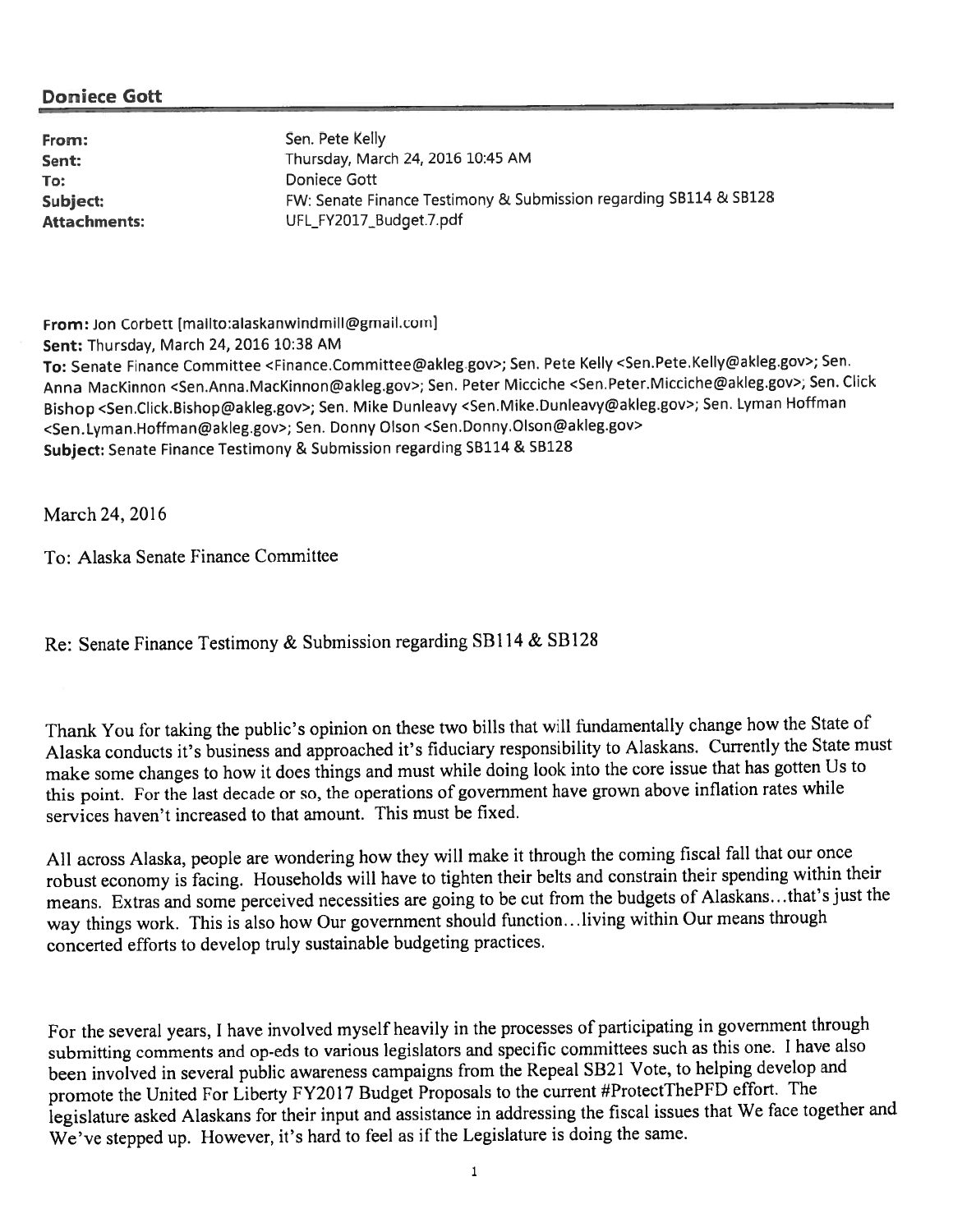To: **The Community Community Community** Doniece Gott

From: Sen. Pete Kelly **Sent:** Thursday, March 24, 2016 10:45 AM Subject: FW: Senate Finance Testimony & Submission regarding SB114 & SB128 Attachments: UFL\_FY2017\_Budget.7.pdf

From: Jon Corbett [mailto:alaskanwindmill@gmail.com] Sent: Thursday, March 24, 2016 10:38 AM To: Senate Finance Committee <Finance.Committee@akleg.gov>; Sen. Pete Kelly <Sen.Pete.Kelly@akleg.gov>; Sen. Anna MacKinnon <Sen.Anna.MacKinnon@akleg.gov>; Sen. Peter Micciche <Sen.Peter.Micciche@akleg.gov>; Sen. Click Bishop <Sen.Click.Bishop@akleg.gov>; Sen. Mike Dunleavy <Sen.Mike.Dunleavy@akleg.gov>; Sen. Lyman Hoffman <Sen.Lyman.Hoffman@akleg.gov>; Sen. Donny Olson <Sen.Donny.Olson@akleg.gov> Subject: Senate Finance Testimony & Submission regarding SB114 & 5B128

March24, 2016

To: Alaska Senate Finance Committee

Re: Senate Finance Testimony & Submission regarding SB114 & SB128

Thank You for taking the public's opinion on these two bills that will fundamentally change how the State of Alaska conducts it's business and approached it's fiduciary responsibility to Alaskans. Currently the State must make some changes to how it does things and must while doing look into the core issue that has gotten Us to this point. For the last decade or so, the operations of governmen<sup>t</sup> have grown above inflation rates while services haven't increased to that amount. This must be fixed,

All across Alaska, people are wondering how they will make it through the coming fiscal fall that our once robust economy is facing. Households will have to tighten their belts and constrain their spending within their means. Extras and some perceived necessities are going to be cut from the budgets of Alaskans...that's just the way things work. This is also how Our governmen<sup>t</sup> should function.. .living within Our means through concerted efforts to develop truly sustainable budgeting practices.

For the several years, <sup>I</sup> have involved myself heavily in the processes of participating in governmen<sup>t</sup> through submitting comments and op-eds to various legislators and specific committees such as this one. <sup>I</sup> have also been involved in several public awareness campaigns from the Repeal SB21 Vote, to helping develop and promote the United For Liberty FY2017 Budget Proposals to the current #ProtectThePFD effort. The legislature asked Alaskans for their input and assistance in addressing the fiscal issues that We face together and We've stepped up. However, it's hard to feel as if the Legislature is doing the same.